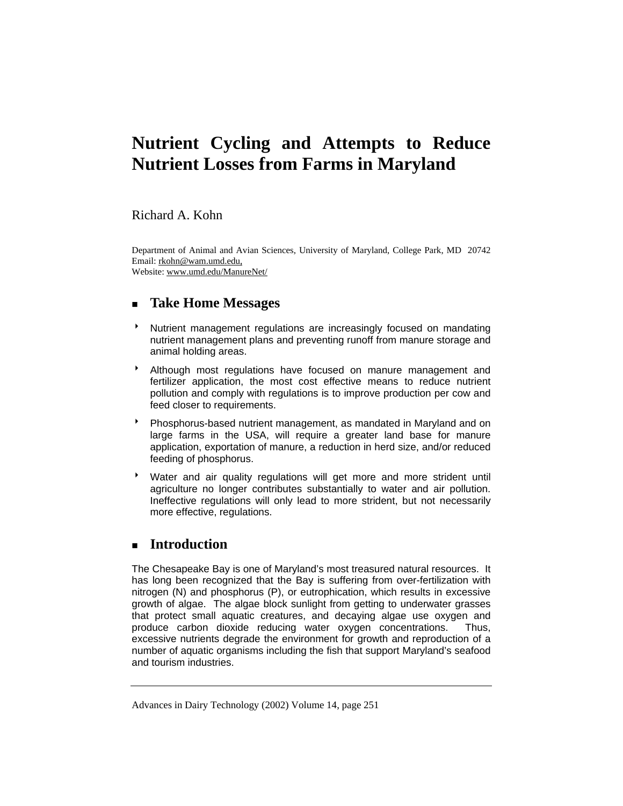# **Nutrient Cycling and Attempts to Reduce Nutrient Losses from Farms in Maryland**

Richard A. Kohn

Department of Animal and Avian Sciences, University of Maryland, College Park, MD 20742 Email: rkohn@wam.umd.edu, Website: www.umd.edu/ManureNet/

# **Take Home Messages**

- **Mutrient management regulations are increasingly focused on mandating** nutrient management plans and preventing runoff from manure storage and animal holding areas.
- \* Although most regulations have focused on manure management and fertilizer application, the most cost effective means to reduce nutrient pollution and comply with regulations is to improve production per cow and feed closer to requirements.
- 8 Phosphorus-based nutrient management, as mandated in Maryland and on large farms in the USA, will require a greater land base for manure application, exportation of manure, a reduction in herd size, and/or reduced feeding of phosphorus.
- Water and air quality regulations will get more and more strident until agriculture no longer contributes substantially to water and air pollution. Ineffective regulations will only lead to more strident, but not necessarily more effective, regulations.

# **Introduction**

The Chesapeake Bay is one of Maryland's most treasured natural resources. It has long been recognized that the Bay is suffering from over-fertilization with nitrogen (N) and phosphorus (P), or eutrophication, which results in excessive growth of algae. The algae block sunlight from getting to underwater grasses that protect small aquatic creatures, and decaying algae use oxygen and produce carbon dioxide reducing water oxygen concentrations. Thus, excessive nutrients degrade the environment for growth and reproduction of a number of aquatic organisms including the fish that support Maryland's seafood and tourism industries.

Advances in Dairy Technology (2002) Volume 14, page 251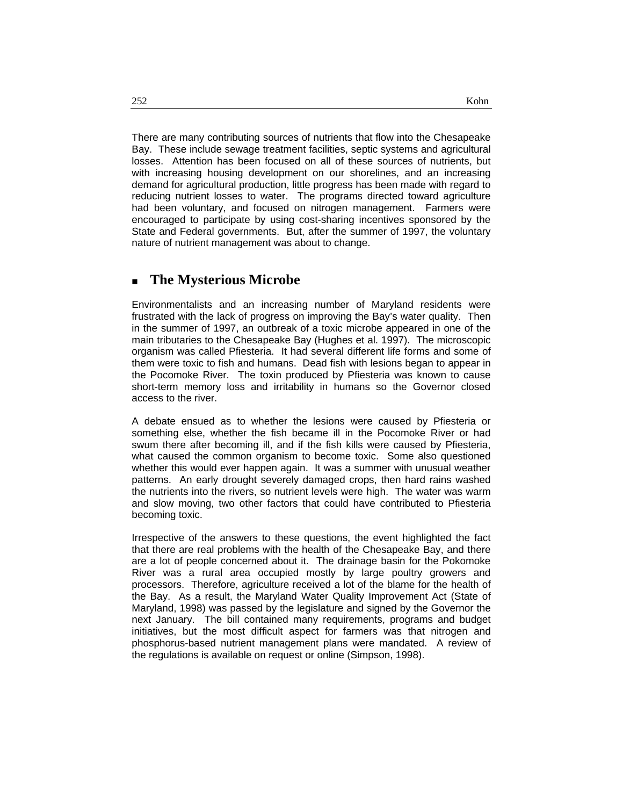There are many contributing sources of nutrients that flow into the Chesapeake Bay. These include sewage treatment facilities, septic systems and agricultural losses. Attention has been focused on all of these sources of nutrients, but with increasing housing development on our shorelines, and an increasing demand for agricultural production, little progress has been made with regard to reducing nutrient losses to water. The programs directed toward agriculture had been voluntary, and focused on nitrogen management. Farmers were encouraged to participate by using cost-sharing incentives sponsored by the State and Federal governments. But, after the summer of 1997, the voluntary nature of nutrient management was about to change.

### **The Mysterious Microbe**

Environmentalists and an increasing number of Maryland residents were frustrated with the lack of progress on improving the Bay's water quality. Then in the summer of 1997, an outbreak of a toxic microbe appeared in one of the main tributaries to the Chesapeake Bay (Hughes et al. 1997). The microscopic organism was called Pfiesteria. It had several different life forms and some of them were toxic to fish and humans. Dead fish with lesions began to appear in the Pocomoke River. The toxin produced by Pfiesteria was known to cause short-term memory loss and irritability in humans so the Governor closed access to the river.

A debate ensued as to whether the lesions were caused by Pfiesteria or something else, whether the fish became ill in the Pocomoke River or had swum there after becoming ill, and if the fish kills were caused by Pfiesteria, what caused the common organism to become toxic. Some also questioned whether this would ever happen again. It was a summer with unusual weather patterns. An early drought severely damaged crops, then hard rains washed the nutrients into the rivers, so nutrient levels were high. The water was warm and slow moving, two other factors that could have contributed to Pfiesteria becoming toxic.

Irrespective of the answers to these questions, the event highlighted the fact that there are real problems with the health of the Chesapeake Bay, and there are a lot of people concerned about it. The drainage basin for the Pokomoke River was a rural area occupied mostly by large poultry growers and processors. Therefore, agriculture received a lot of the blame for the health of the Bay. As a result, the Maryland Water Quality Improvement Act (State of Maryland, 1998) was passed by the legislature and signed by the Governor the next January. The bill contained many requirements, programs and budget initiatives, but the most difficult aspect for farmers was that nitrogen and phosphorus-based nutrient management plans were mandated. A review of the regulations is available on request or online (Simpson, 1998).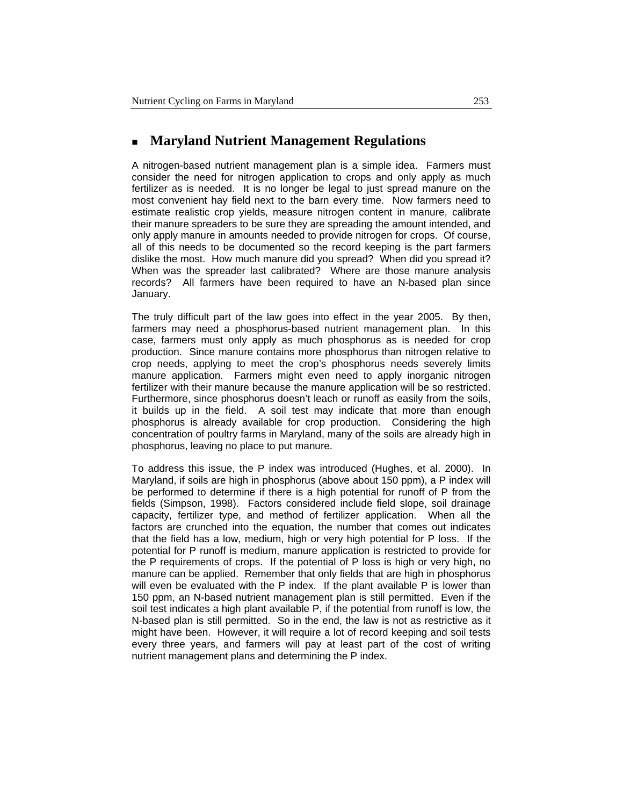#### **Maryland Nutrient Management Regulations**

A nitrogen-based nutrient management plan is a simple idea. Farmers must consider the need for nitrogen application to crops and only apply as much fertilizer as is needed. It is no longer be legal to just spread manure on the most convenient hay field next to the barn every time. Now farmers need to estimate realistic crop yields, measure nitrogen content in manure, calibrate their manure spreaders to be sure they are spreading the amount intended, and only apply manure in amounts needed to provide nitrogen for crops. Of course, all of this needs to be documented so the record keeping is the part farmers dislike the most. How much manure did you spread? When did you spread it? When was the spreader last calibrated? Where are those manure analysis records? All farmers have been required to have an N-based plan since January.

The truly difficult part of the law goes into effect in the year 2005. By then, farmers may need a phosphorus-based nutrient management plan. In this case, farmers must only apply as much phosphorus as is needed for crop production. Since manure contains more phosphorus than nitrogen relative to crop needs, applying to meet the crop's phosphorus needs severely limits manure application. Farmers might even need to apply inorganic nitrogen fertilizer with their manure because the manure application will be so restricted. Furthermore, since phosphorus doesn't leach or runoff as easily from the soils, it builds up in the field. A soil test may indicate that more than enough phosphorus is already available for crop production. Considering the high concentration of poultry farms in Maryland, many of the soils are already high in phosphorus, leaving no place to put manure.

To address this issue, the P index was introduced (Hughes, et al. 2000). In Maryland, if soils are high in phosphorus (above about 150 ppm), a P index will be performed to determine if there is a high potential for runoff of P from the fields (Simpson, 1998). Factors considered include field slope, soil drainage capacity, fertilizer type, and method of fertilizer application. When all the factors are crunched into the equation, the number that comes out indicates that the field has a low, medium, high or very high potential for P loss. If the potential for P runoff is medium, manure application is restricted to provide for the P requirements of crops. If the potential of P loss is high or very high, no manure can be applied. Remember that only fields that are high in phosphorus will even be evaluated with the P index. If the plant available P is lower than 150 ppm, an N-based nutrient management plan is still permitted. Even if the soil test indicates a high plant available P, if the potential from runoff is low, the N-based plan is still permitted. So in the end, the law is not as restrictive as it might have been. However, it will require a lot of record keeping and soil tests every three years, and farmers will pay at least part of the cost of writing nutrient management plans and determining the P index.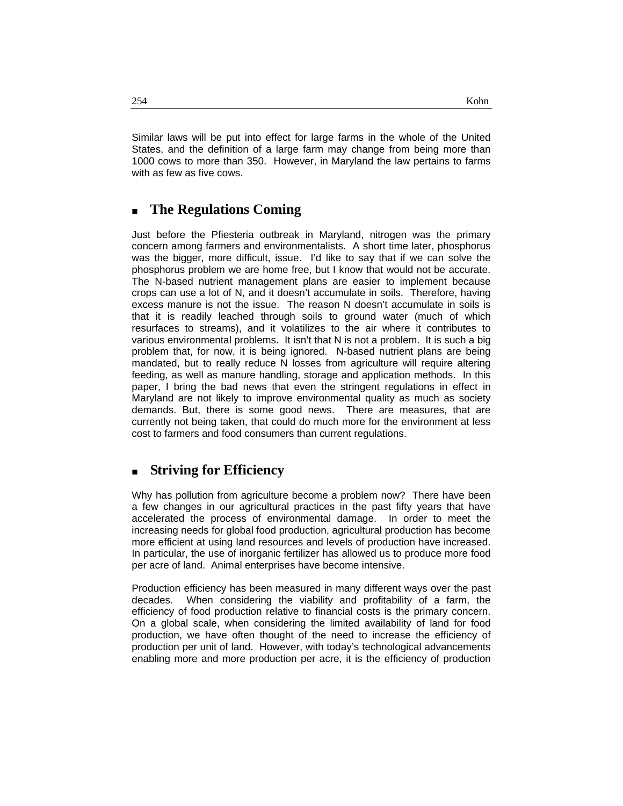Similar laws will be put into effect for large farms in the whole of the United States, and the definition of a large farm may change from being more than 1000 cows to more than 350. However, in Maryland the law pertains to farms with as few as five cows.

# **The Regulations Coming**

Just before the Pfiesteria outbreak in Maryland, nitrogen was the primary concern among farmers and environmentalists. A short time later, phosphorus was the bigger, more difficult, issue. I'd like to say that if we can solve the phosphorus problem we are home free, but I know that would not be accurate. The N-based nutrient management plans are easier to implement because crops can use a lot of N, and it doesn't accumulate in soils. Therefore, having excess manure is not the issue. The reason N doesn't accumulate in soils is that it is readily leached through soils to ground water (much of which resurfaces to streams), and it volatilizes to the air where it contributes to various environmental problems. It isn't that N is not a problem. It is such a big problem that, for now, it is being ignored. N-based nutrient plans are being mandated, but to really reduce N losses from agriculture will require altering feeding, as well as manure handling, storage and application methods. In this paper, I bring the bad news that even the stringent regulations in effect in Maryland are not likely to improve environmental quality as much as society demands. But, there is some good news. There are measures, that are currently not being taken, that could do much more for the environment at less cost to farmers and food consumers than current regulations.

# **Striving for Efficiency**

Why has pollution from agriculture become a problem now? There have been a few changes in our agricultural practices in the past fifty years that have accelerated the process of environmental damage. In order to meet the increasing needs for global food production, agricultural production has become more efficient at using land resources and levels of production have increased. In particular, the use of inorganic fertilizer has allowed us to produce more food per acre of land. Animal enterprises have become intensive.

Production efficiency has been measured in many different ways over the past decades. When considering the viability and profitability of a farm, the efficiency of food production relative to financial costs is the primary concern. On a global scale, when considering the limited availability of land for food production, we have often thought of the need to increase the efficiency of production per unit of land. However, with today's technological advancements enabling more and more production per acre, it is the efficiency of production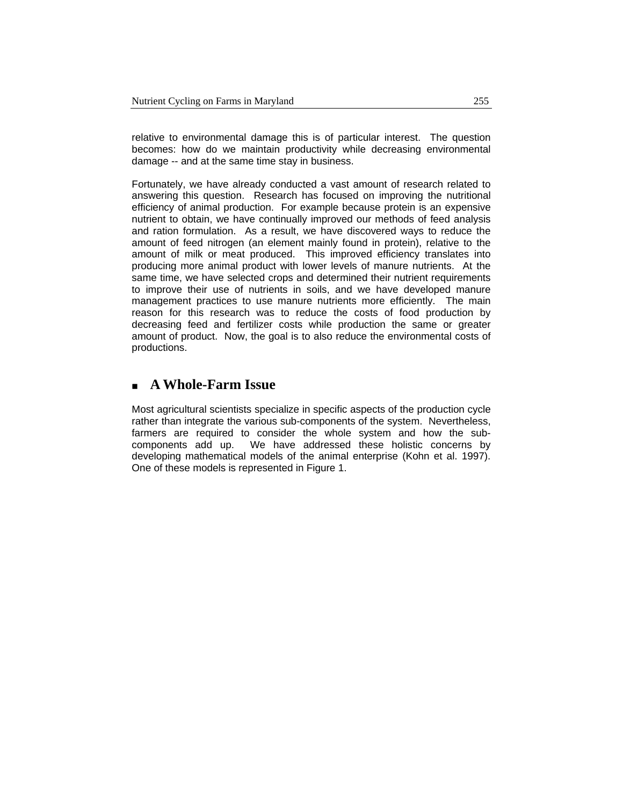relative to environmental damage this is of particular interest. The question becomes: how do we maintain productivity while decreasing environmental damage -- and at the same time stay in business.

Fortunately, we have already conducted a vast amount of research related to answering this question. Research has focused on improving the nutritional efficiency of animal production. For example because protein is an expensive nutrient to obtain, we have continually improved our methods of feed analysis and ration formulation. As a result, we have discovered ways to reduce the amount of feed nitrogen (an element mainly found in protein), relative to the amount of milk or meat produced. This improved efficiency translates into producing more animal product with lower levels of manure nutrients. At the same time, we have selected crops and determined their nutrient requirements to improve their use of nutrients in soils, and we have developed manure management practices to use manure nutrients more efficiently. The main reason for this research was to reduce the costs of food production by decreasing feed and fertilizer costs while production the same or greater amount of product. Now, the goal is to also reduce the environmental costs of productions.

# **A Whole-Farm Issue**

Most agricultural scientists specialize in specific aspects of the production cycle rather than integrate the various sub-components of the system. Nevertheless, farmers are required to consider the whole system and how the subcomponents add up. We have addressed these holistic concerns by developing mathematical models of the animal enterprise (Kohn et al. 1997). One of these models is represented in Figure 1.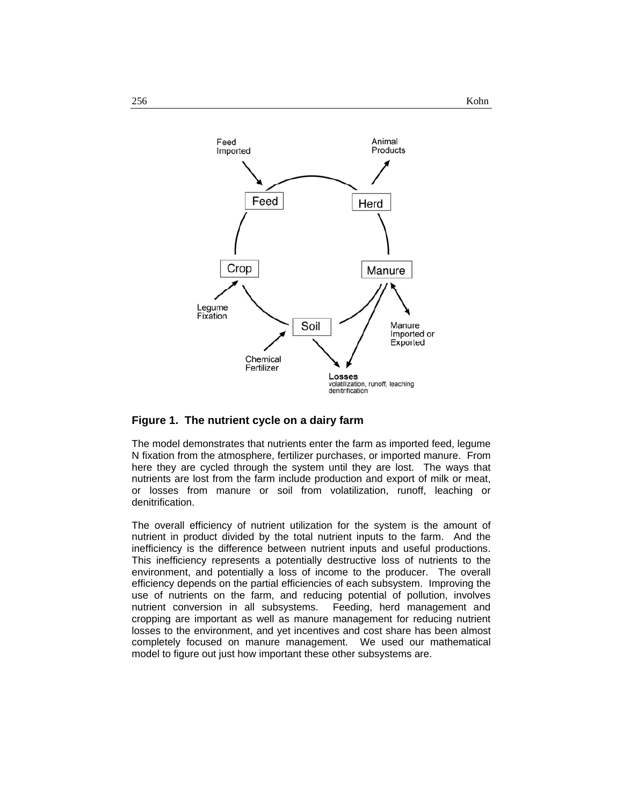

#### **Figure 1. The nutrient cycle on a dairy farm**

The model demonstrates that nutrients enter the farm as imported feed, legume N fixation from the atmosphere, fertilizer purchases, or imported manure. From here they are cycled through the system until they are lost. The ways that nutrients are lost from the farm include production and export of milk or meat, or losses from manure or soil from volatilization, runoff, leaching or denitrification.

The overall efficiency of nutrient utilization for the system is the amount of nutrient in product divided by the total nutrient inputs to the farm. And the inefficiency is the difference between nutrient inputs and useful productions. This inefficiency represents a potentially destructive loss of nutrients to the environment, and potentially a loss of income to the producer. The overall efficiency depends on the partial efficiencies of each subsystem. Improving the use of nutrients on the farm, and reducing potential of pollution, involves nutrient conversion in all subsystems. Feeding, herd management and cropping are important as well as manure management for reducing nutrient losses to the environment, and yet incentives and cost share has been almost completely focused on manure management. We used our mathematical model to figure out just how important these other subsystems are.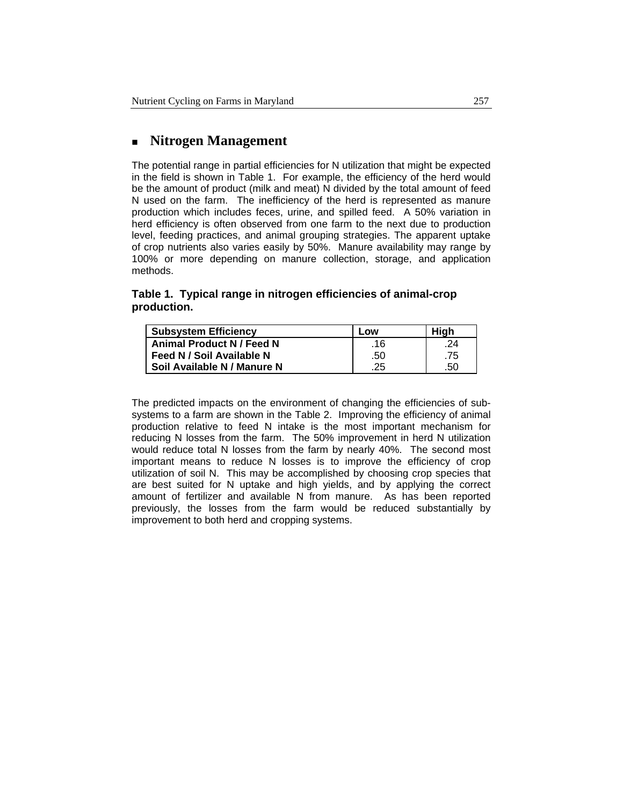## **Nitrogen Management**

The potential range in partial efficiencies for N utilization that might be expected in the field is shown in Table 1. For example, the efficiency of the herd would be the amount of product (milk and meat) N divided by the total amount of feed N used on the farm. The inefficiency of the herd is represented as manure production which includes feces, urine, and spilled feed. A 50% variation in herd efficiency is often observed from one farm to the next due to production level, feeding practices, and animal grouping strategies. The apparent uptake of crop nutrients also varies easily by 50%. Manure availability may range by 100% or more depending on manure collection, storage, and application methods.

#### **Table 1. Typical range in nitrogen efficiencies of animal-crop production.**

| <b>Subsystem Efficiency</b> | Low | High |
|-----------------------------|-----|------|
| Animal Product N / Feed N   | .16 | .24  |
| Feed N / Soil Available N   | .50 | .75  |
| Soil Available N / Manure N | .25 | .50  |

The predicted impacts on the environment of changing the efficiencies of subsystems to a farm are shown in the Table 2. Improving the efficiency of animal production relative to feed N intake is the most important mechanism for reducing N losses from the farm. The 50% improvement in herd N utilization would reduce total N losses from the farm by nearly 40%. The second most important means to reduce N losses is to improve the efficiency of crop utilization of soil N. This may be accomplished by choosing crop species that are best suited for N uptake and high yields, and by applying the correct amount of fertilizer and available N from manure. As has been reported previously, the losses from the farm would be reduced substantially by improvement to both herd and cropping systems.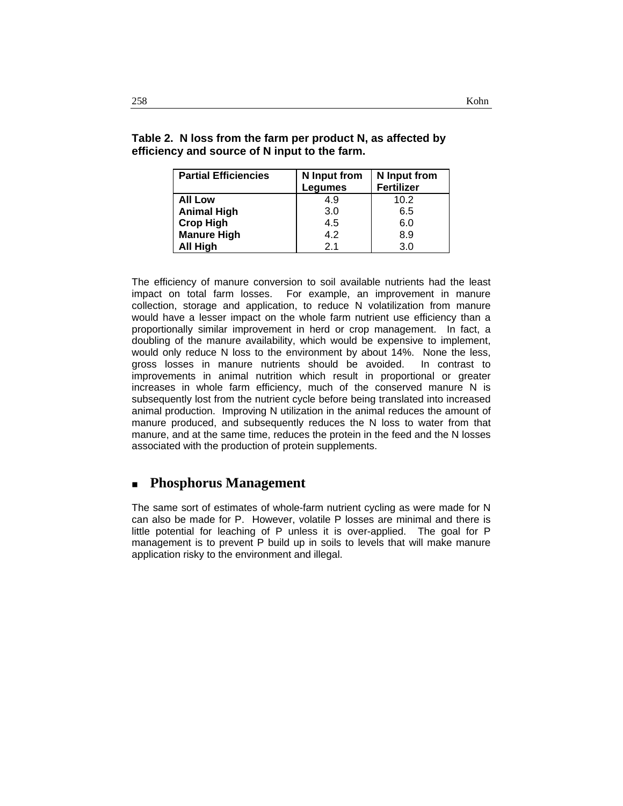| <b>Partial Efficiencies</b> | N Input from   | N Input from      |
|-----------------------------|----------------|-------------------|
|                             | Legumes        | <b>Fertilizer</b> |
| <b>All Low</b>              | 4.9            | 10.2              |
| <b>Animal High</b>          | 3.0            | 6.5               |
| <b>Crop High</b>            | 4.5            | 6.0               |
| <b>Manure High</b>          | 4.2            | 8.9               |
| All High                    | 2 <sub>1</sub> | 3.0               |

**Table 2. N loss from the farm per product N, as affected by efficiency and source of N input to the farm.** 

The efficiency of manure conversion to soil available nutrients had the least impact on total farm losses. For example, an improvement in manure collection, storage and application, to reduce N volatilization from manure would have a lesser impact on the whole farm nutrient use efficiency than a proportionally similar improvement in herd or crop management. In fact, a doubling of the manure availability, which would be expensive to implement, would only reduce N loss to the environment by about 14%. None the less, gross losses in manure nutrients should be avoided. In contrast to improvements in animal nutrition which result in proportional or greater increases in whole farm efficiency, much of the conserved manure N is subsequently lost from the nutrient cycle before being translated into increased animal production. Improving N utilization in the animal reduces the amount of manure produced, and subsequently reduces the N loss to water from that manure, and at the same time, reduces the protein in the feed and the N losses associated with the production of protein supplements.

### **Phosphorus Management**

The same sort of estimates of whole-farm nutrient cycling as were made for N can also be made for P. However, volatile P losses are minimal and there is little potential for leaching of P unless it is over-applied. The goal for P management is to prevent P build up in soils to levels that will make manure application risky to the environment and illegal.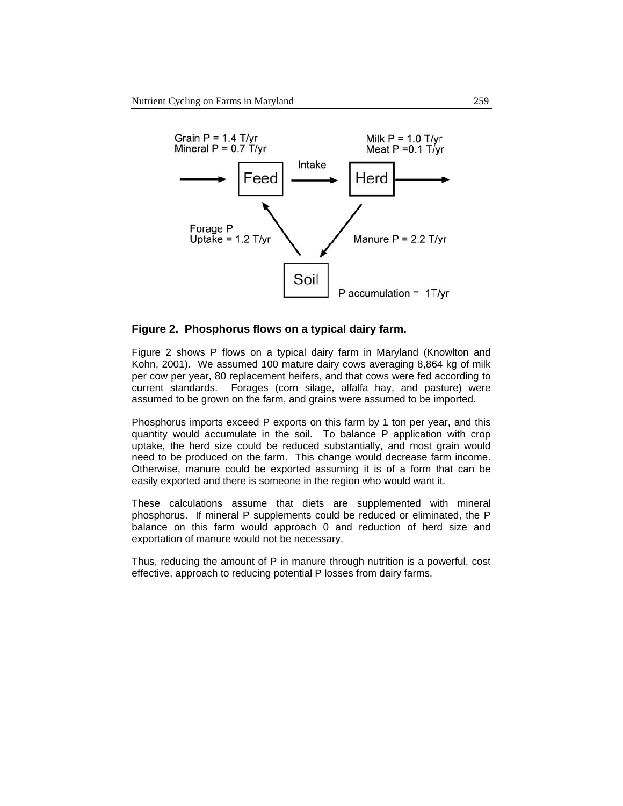

#### **Figure 2. Phosphorus flows on a typical dairy farm.**

Figure 2 shows P flows on a typical dairy farm in Maryland (Knowlton and Kohn, 2001). We assumed 100 mature dairy cows averaging 8,864 kg of milk per cow per year, 80 replacement heifers, and that cows were fed according to current standards. Forages (corn silage, alfalfa hay, and pasture) were assumed to be grown on the farm, and grains were assumed to be imported.

Phosphorus imports exceed P exports on this farm by 1 ton per year, and this quantity would accumulate in the soil. To balance P application with crop uptake, the herd size could be reduced substantially, and most grain would need to be produced on the farm. This change would decrease farm income. Otherwise, manure could be exported assuming it is of a form that can be easily exported and there is someone in the region who would want it.

These calculations assume that diets are supplemented with mineral phosphorus. If mineral P supplements could be reduced or eliminated, the P balance on this farm would approach 0 and reduction of herd size and exportation of manure would not be necessary.

Thus, reducing the amount of P in manure through nutrition is a powerful, cost effective, approach to reducing potential P losses from dairy farms.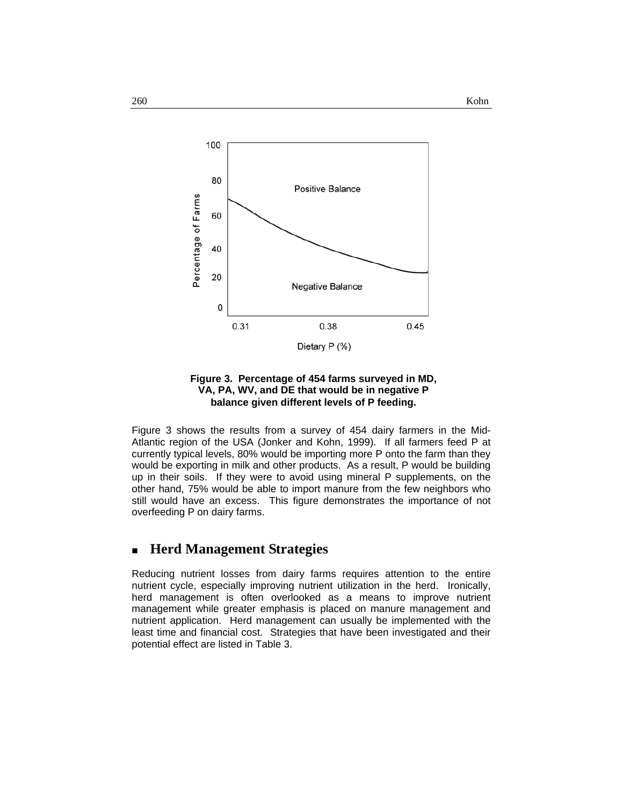



Figure 3 shows the results from a survey of 454 dairy farmers in the Mid-Atlantic region of the USA (Jonker and Kohn, 1999). If all farmers feed P at currently typical levels, 80% would be importing more P onto the farm than they would be exporting in milk and other products. As a result, P would be building up in their soils. If they were to avoid using mineral P supplements, on the other hand, 75% would be able to import manure from the few neighbors who still would have an excess. This figure demonstrates the importance of not overfeeding P on dairy farms.

### **Herd Management Strategies**

Reducing nutrient losses from dairy farms requires attention to the entire nutrient cycle, especially improving nutrient utilization in the herd. Ironically, herd management is often overlooked as a means to improve nutrient management while greater emphasis is placed on manure management and nutrient application. Herd management can usually be implemented with the least time and financial cost. Strategies that have been investigated and their potential effect are listed in Table 3.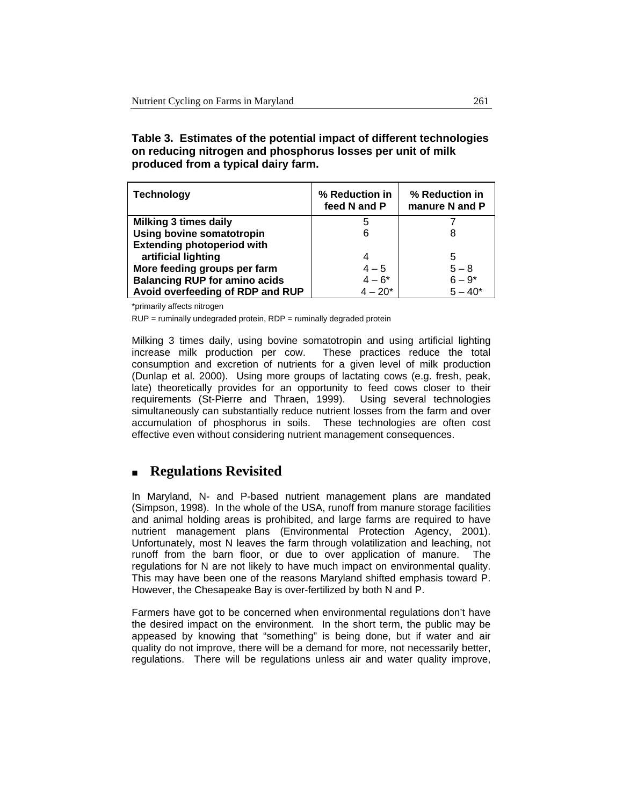#### **Table 3. Estimates of the potential impact of different technologies on reducing nitrogen and phosphorus losses per unit of milk produced from a typical dairy farm.**

| <b>Technology</b>                    | % Reduction in<br>feed N and P | % Reduction in<br>manure N and P |
|--------------------------------------|--------------------------------|----------------------------------|
| <b>Milking 3 times daily</b>         | 5                              |                                  |
| Using bovine somatotropin            | 6                              | 8                                |
| <b>Extending photoperiod with</b>    |                                |                                  |
| artificial lighting                  | 4                              | 5                                |
| More feeding groups per farm         | $4 - 5$                        | $5 - 8$                          |
| <b>Balancing RUP for amino acids</b> | $4 - 6*$                       | $6 - 9*$                         |
| Avoid overfeeding of RDP and RUP     | $4 - 20*$                      | $5 - 40*$                        |

\*primarily affects nitrogen

RUP = ruminally undegraded protein, RDP = ruminally degraded protein

Milking 3 times daily, using bovine somatotropin and using artificial lighting increase milk production per cow. These practices reduce the total consumption and excretion of nutrients for a given level of milk production (Dunlap et al. 2000). Using more groups of lactating cows (e.g. fresh, peak, late) theoretically provides for an opportunity to feed cows closer to their requirements (St-Pierre and Thraen, 1999). Using several technologies simultaneously can substantially reduce nutrient losses from the farm and over accumulation of phosphorus in soils. These technologies are often cost effective even without considering nutrient management consequences.

# **Regulations Revisited**

In Maryland, N- and P-based nutrient management plans are mandated (Simpson, 1998). In the whole of the USA, runoff from manure storage facilities and animal holding areas is prohibited, and large farms are required to have nutrient management plans (Environmental Protection Agency, 2001). Unfortunately, most N leaves the farm through volatilization and leaching, not runoff from the barn floor, or due to over application of manure. The regulations for N are not likely to have much impact on environmental quality. This may have been one of the reasons Maryland shifted emphasis toward P. However, the Chesapeake Bay is over-fertilized by both N and P.

Farmers have got to be concerned when environmental regulations don't have the desired impact on the environment. In the short term, the public may be appeased by knowing that "something" is being done, but if water and air quality do not improve, there will be a demand for more, not necessarily better, regulations. There will be regulations unless air and water quality improve,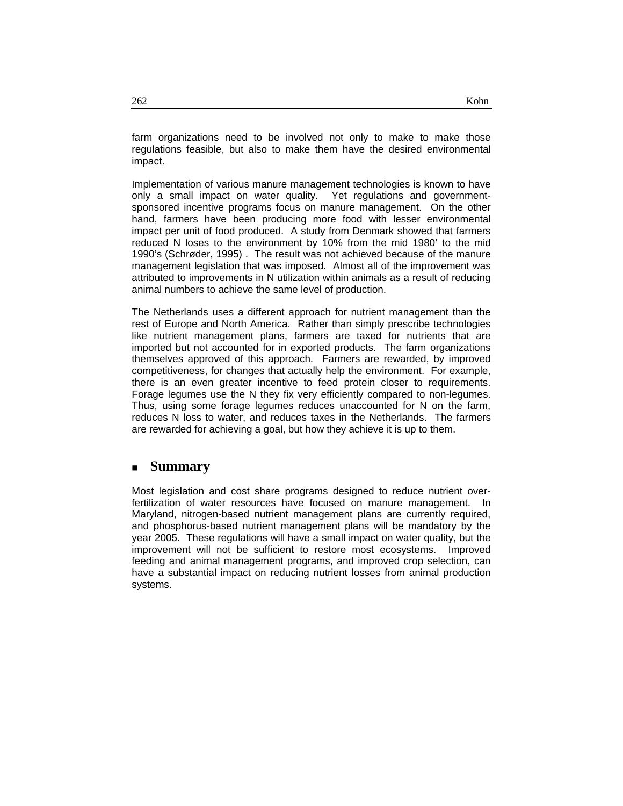farm organizations need to be involved not only to make to make those regulations feasible, but also to make them have the desired environmental impact.

Implementation of various manure management technologies is known to have only a small impact on water quality. Yet regulations and governmentsponsored incentive programs focus on manure management. On the other hand, farmers have been producing more food with lesser environmental impact per unit of food produced. A study from Denmark showed that farmers reduced N loses to the environment by 10% from the mid 1980' to the mid 1990's (Schrøder, 1995) . The result was not achieved because of the manure management legislation that was imposed. Almost all of the improvement was attributed to improvements in N utilization within animals as a result of reducing animal numbers to achieve the same level of production.

The Netherlands uses a different approach for nutrient management than the rest of Europe and North America. Rather than simply prescribe technologies like nutrient management plans, farmers are taxed for nutrients that are imported but not accounted for in exported products. The farm organizations themselves approved of this approach. Farmers are rewarded, by improved competitiveness, for changes that actually help the environment. For example, there is an even greater incentive to feed protein closer to requirements. Forage legumes use the N they fix very efficiently compared to non-legumes. Thus, using some forage legumes reduces unaccounted for N on the farm, reduces N loss to water, and reduces taxes in the Netherlands. The farmers are rewarded for achieving a goal, but how they achieve it is up to them.

### **Summary**

Most legislation and cost share programs designed to reduce nutrient overfertilization of water resources have focused on manure management. In Maryland, nitrogen-based nutrient management plans are currently required, and phosphorus-based nutrient management plans will be mandatory by the year 2005. These regulations will have a small impact on water quality, but the improvement will not be sufficient to restore most ecosystems. Improved feeding and animal management programs, and improved crop selection, can have a substantial impact on reducing nutrient losses from animal production systems.